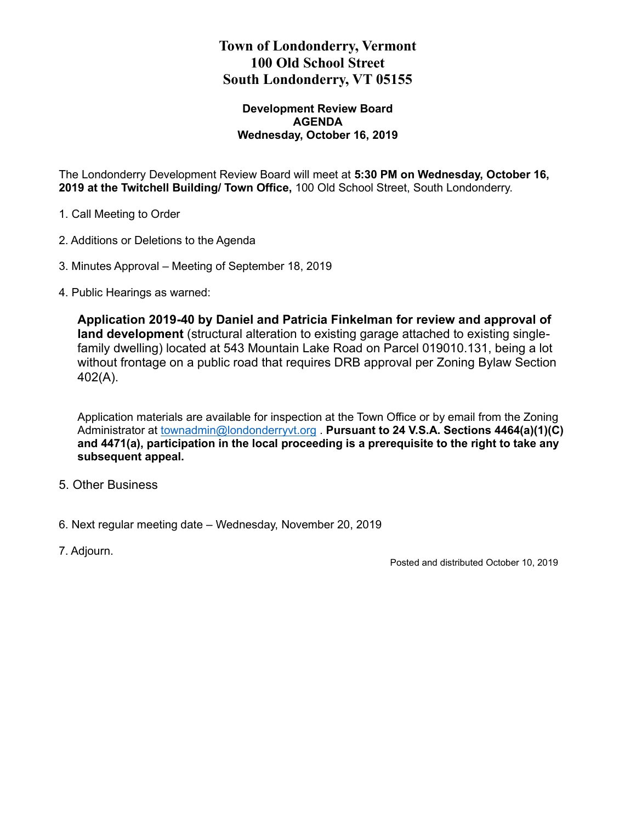## **Town of Londonderry, Vermont 100 Old School Street South Londonderry, VT 05155**

### **Development Review Board AGENDA Wednesday, October 16, 2019**

The Londonderry Development Review Board will meet at **5:30 PM on Wednesday, October 16, 2019 at the Twitchell Building/ Town Office,** 100 Old School Street, South Londonderry.

- 1. Call Meeting to Order
- 2. Additions or Deletions to the Agenda
- 3. Minutes Approval Meeting of September 18, 2019
- 4. Public Hearings as warned:

**Application 2019-40 by Daniel and Patricia Finkelman for review and approval of land development** (structural alteration to existing garage attached to existing singlefamily dwelling) located at 543 Mountain Lake Road on Parcel 019010.131, being a lot without frontage on a public road that requires DRB approval per Zoning Bylaw Section 402(A).

Application materials are available for inspection at the Town Office or by email from the Zoning Administrator at [townadmin@londonderryvt.org](mailto:townadmin@londonderryvt.org) . **Pursuant to 24 V.S.A. Sections 4464(a)(1)(C) and 4471(a), participation in the local proceeding is a prerequisite to the right to take any subsequent appeal.** 

- 5. Other Business
- 6. Next regular meeting date Wednesday, November 20, 2019
- 7. Adjourn.

Posted and distributed October 10, 2019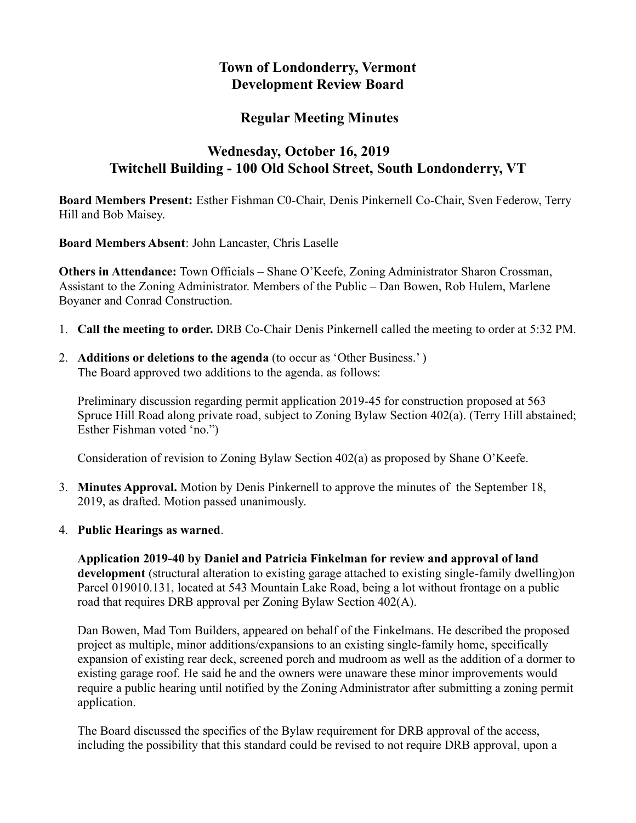## **Town of Londonderry, Vermont Development Review Board**

## **Regular Meeting Minutes**

# **Wednesday, October 16, 2019 Twitchell Building - 100 Old School Street, South Londonderry, VT**

**Board Members Present:** Esther Fishman C0-Chair, Denis Pinkernell Co-Chair, Sven Federow, Terry Hill and Bob Maisey.

**Board Members Absent**: John Lancaster, Chris Laselle

**Others in Attendance:** Town Officials – Shane O'Keefe, Zoning Administrator Sharon Crossman, Assistant to the Zoning Administrator. Members of the Public – Dan Bowen, Rob Hulem, Marlene Boyaner and Conrad Construction.

- 1. **Call the meeting to order.** DRB Co-Chair Denis Pinkernell called the meeting to order at 5:32 PM.
- 2. **Additions or deletions to the agenda** (to occur as 'Other Business.' ) The Board approved two additions to the agenda. as follows:

Preliminary discussion regarding permit application 2019-45 for construction proposed at 563 Spruce Hill Road along private road, subject to Zoning Bylaw Section 402(a). (Terry Hill abstained; Esther Fishman voted 'no.")

Consideration of revision to Zoning Bylaw Section 402(a) as proposed by Shane O'Keefe.

- 3. **Minutes Approval.** Motion by Denis Pinkernell to approve the minutes of the September 18, 2019, as drafted. Motion passed unanimously.
- 4. **Public Hearings as warned**.

**Application 2019-40 by Daniel and Patricia Finkelman for review and approval of land development** (structural alteration to existing garage attached to existing single-family dwelling)on Parcel 019010.131, located at 543 Mountain Lake Road, being a lot without frontage on a public road that requires DRB approval per Zoning Bylaw Section 402(A).

Dan Bowen, Mad Tom Builders, appeared on behalf of the Finkelmans. He described the proposed project as multiple, minor additions/expansions to an existing single-family home, specifically expansion of existing rear deck, screened porch and mudroom as well as the addition of a dormer to existing garage roof. He said he and the owners were unaware these minor improvements would require a public hearing until notified by the Zoning Administrator after submitting a zoning permit application.

The Board discussed the specifics of the Bylaw requirement for DRB approval of the access, including the possibility that this standard could be revised to not require DRB approval, upon a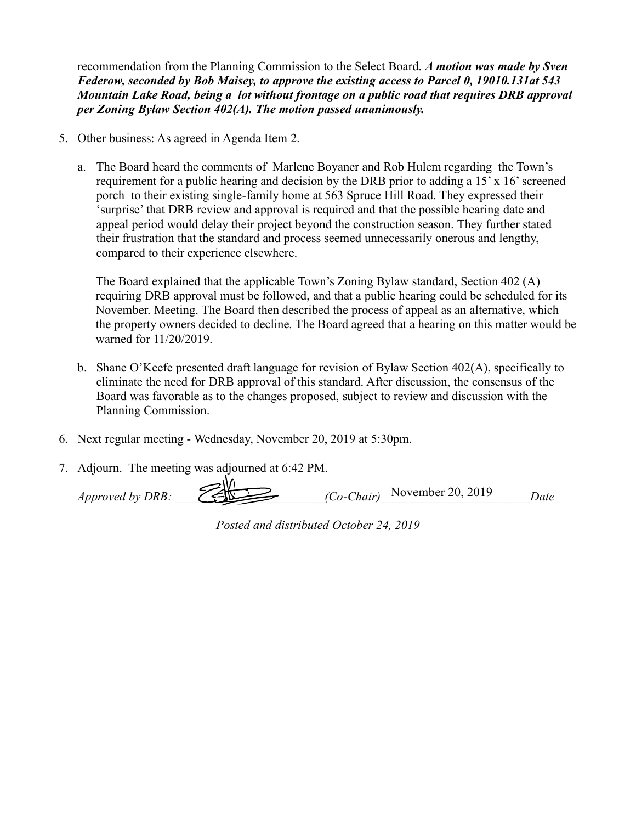recommendation from the Planning Commission to the Select Board. *A motion was made by Sven Federow, seconded by Bob Maisey, to approve the existing access to Parcel 0, 19010.131at 543 Mountain Lake Road, being a lot without frontage on a public road that requires DRB approval per Zoning Bylaw Section 402(A). The motion passed unanimously.*

- 5. Other business: As agreed in Agenda Item 2.
	- a. The Board heard the comments of Marlene Boyaner and Rob Hulem regarding the Town's requirement for a public hearing and decision by the DRB prior to adding a  $15' \times 16'$  screened porch to their existing single-family home at 563 Spruce Hill Road. They expressed their 'surprise' that DRB review and approval is required and that the possible hearing date and appeal period would delay their project beyond the construction season. They further stated their frustration that the standard and process seemed unnecessarily onerous and lengthy, compared to their experience elsewhere.

The Board explained that the applicable Town's Zoning Bylaw standard, Section 402 (A) requiring DRB approval must be followed, and that a public hearing could be scheduled for its November. Meeting. The Board then described the process of appeal as an alternative, which the property owners decided to decline. The Board agreed that a hearing on this matter would be warned for 11/20/2019.

- b. Shane O'Keefe presented draft language for revision of Bylaw Section 402(A), specifically to eliminate the need for DRB approval of this standard. After discussion, the consensus of the Board was favorable as to the changes proposed, subject to review and discussion with the Planning Commission.
- 6. Next regular meeting Wednesday, November 20, 2019 at 5:30pm.
- 7. Adjourn. The meeting was adjourned at 6:42 PM.

*Approved by DRB:*  $\overbrace{\hspace{2.5cm}}$   $\overbrace{\hspace{2.5cm}}$   $\overbrace{\hspace{2.5cm}}$   $\overbrace{\hspace{2.5cm}}$   $\overbrace{\hspace{2.5cm}}$   $\overbrace{\hspace{2.5cm}}$   $\overbrace{\hspace{2.5cm}}$   $\overbrace{\hspace{2.5cm}}$   $\overbrace{\hspace{2.5cm}}$   $\overbrace{\hspace{2.5cm}}$   $\overbrace{\hspace{2.5cm}}$   $\overbrace{\hspace{2.5cm}}$   $\overbrace{\hspace{2.5cm}}$   $\overbrace{\hspace{$ 

| Posted and distributed October 24, 2019 |  |  |  |
|-----------------------------------------|--|--|--|
|-----------------------------------------|--|--|--|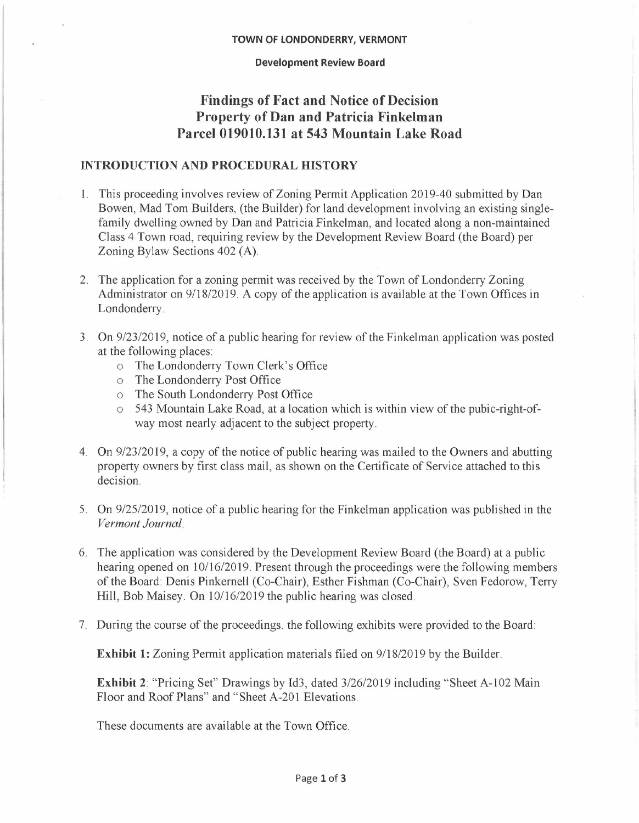#### **TOWN OF LONDONDERRY, VERMONT**

#### **Development Review Board**

## **Findings of Fact and Notice of Decision Property of Dan and Patricia Finkelman Parcel 019010.131 at 543 Mountain Lake Road**

### **INTRODUCTION AND PROCEDURAL HISTORY**

- **1.** This proceeding involves review of Zoning Permit Application 2019-40 submitted by Dan Bowen, Mad Tom Builders, (the Builder) for land development involving an existing singlefamily dwelling owned by Dan and Patricia Finkelman, and located along a non-maintained Class 4 Town road, requiring review by the Development Review Board (the Board) per Zoning Bylaw Sections 402 (A).
- 2. The application for a zoning permit was received by the Town of Londonderry Zoning Administrator on 9/18/2019. A copy of the application is available at the Town Offices in Londonderry.
- 3. On 9/23/2019, notice of a public hearing for review of the Finkelman application was posted at the following places:
	- o The Londonderry Town Clerk's Office
	- o The Londonderry Post Office
	- o The South Londonderry Post Office
	- o 543 Mountain Lake Road, at a location which is within view of the pubic-right-ofway most nearly adjacent to the subject property.
- 4. On 9/23/2019, a copy of the notice of public hearing was mailed to the Owners and abutting property owners by first class mail, as shown on the Certificate of Service attached to this decision.
- 5. On 9/25/2019, notice of a public hearing for the Finkelman application was published in the *Vermont Journal.*
- 6. The application was considered by the Development Review Board (the Board) at a public hearing opened on 10/16/2019. Present through the proceedings were the following members of the Board: Denis Pinkernell (Co-Chair), Esther Fishman (Co-Chair), Sven Fedorow, Terry **Hill,** Bob Maisey. On 10/16/2019 the public hearing was closed.
- 7. During the course of the proceedings. the following exhibits were provided to the Board:

**Exhibit 1:** Zoning Permit application materials filed on 9/18/2019 by the Builder.

**Exhibit 2:** "Pricing Set" Drawings by Id3, dated  $3/26/2019$  including "Sheet A-102 Main Floor and Roof Plans" and "Sheet A-201 Elevations.

These documents are available at the Town Office.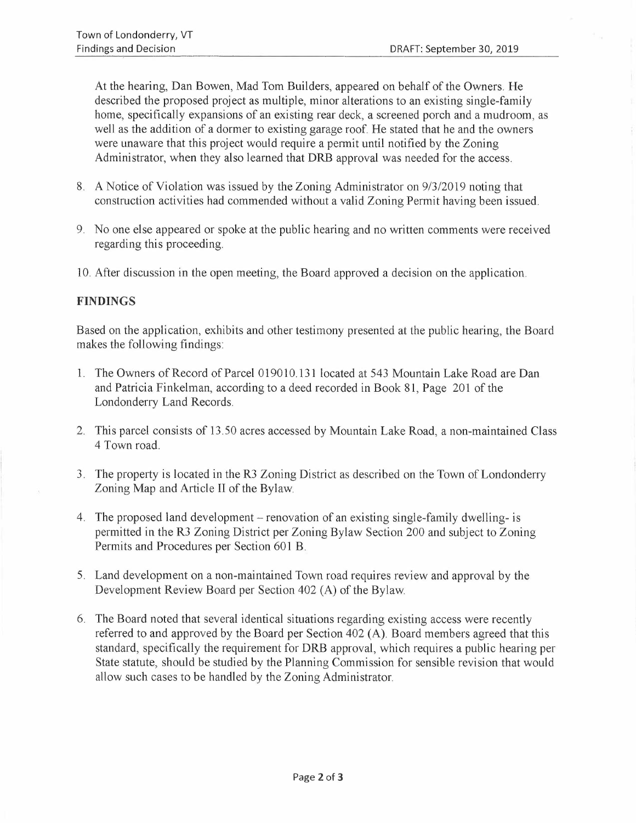At the hearing, Dan Bowen, Mad Tom Builders, appeared on behalf of the Owners. He described the proposed project as multiple, minor alterations to an existing single-family home, specifically expansions of an existing rear deck, a screened porch and a mudroom, as well as the addition of a dormer to existing garage roof. He stated that he and the owners were unaware that this project would require a permit until notified by the Zoning Administrator, when they also learned that DRB approval was needed for the access.

- 8. A Notice of Violation was issued by the Zoning Administrator on 9/3/2019 noting that construction activities had commended without a valid Zoning Permit having been issued.
- 9. No one else appeared or spoke at the public hearing and no written comments were received regarding this proceeding.
- 10. After discussion in the open meeting, the Board approved a decision on the application.

### **FINDINGS**

Based on the application, exhibits and other testimony presented at the public hearing, the Board makes the following findings:

- 1. The Owners of Record of Parcel 019010.131 located at 543 Mountain Lake Road are Dan and Patricia Finkelman, according to a deed recorded in Book 81, Page 201 of the Londonderry Land Records.
- 2. This parcel consists of 13.50 acres accessed by Mountain Lake Road, a non-maintained Class 4 Town road.
- 3. The property is located in the R3 Zoning District as described on the Town of Londonderry Zoning Map and Article II of the Bylaw
- 4. The proposed land development renovation of an existing single-family dwelling- is permitted in the R3 Zoning District per Zoning Bylaw Section 200 and subject to Zoning Permits and Procedures per Section 601 B.
- 5. Land development on a non-maintained Town road requires review and approval by the Development Review Board per Section 402 (A) of the Bylaw
- 6. The Board noted that several identical situations regarding existing access were recently referred to and approved by the Board per Section 402 (A). Board members agreed that this standard, specifically the requirement for DRB approval, which requires a public hearing per State statute, should be studied by the Planning Commission for sensible revision that would allow such cases to be handled by the Zoning Administrator.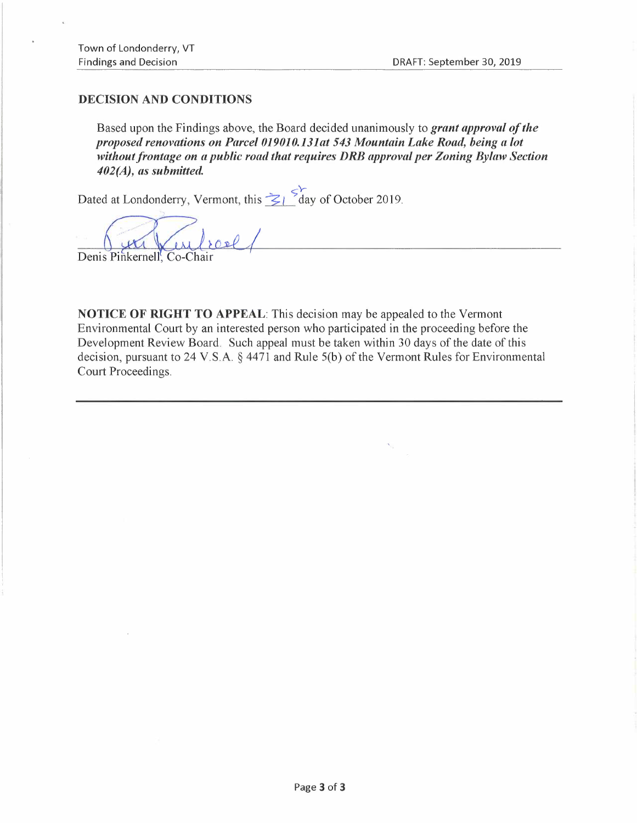### **DECISION AND CONDITIONS**

Based upon the Findings above, the Board decided unanimously to *grant approval of the proposed renovations on Parcel 019010.131at 543 Mountain Lake Road, being a lot without frontage on a public road that requires DRB approval per Zoning Bylaw Section 402(A), as submitted.* 

Dated at Londonderry, Vermont, this  $\leq$  *L* day of October 2019.

Denis Pinkernell, Co-Chair

**NOTICE OF RIGHT TO APPEAL:** This decision may be appealed to the Vermont Environmental Court by an interested person who participated in the proceeding before the Development Review Board. Such appeal must be taken within 30 days of the date of this decision, pursuant to 24 V.S.A. § 4471 and Rule S(b) of the Vermont Rules for Environmental Court Proceedings.